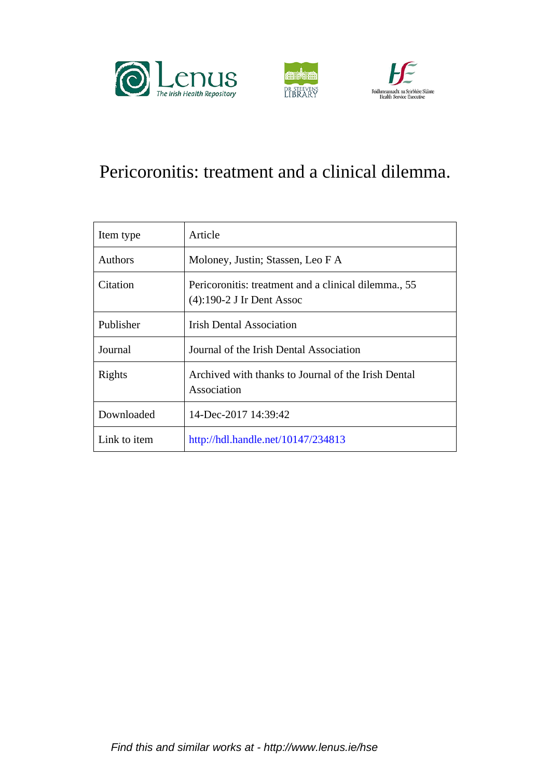





# Pericoronitis: treatment and a clinical dilemma.

| Item type    | Article                                                                           |
|--------------|-----------------------------------------------------------------------------------|
| Authors      | Moloney, Justin; Stassen, Leo F A                                                 |
| Citation     | Pericoronitis: treatment and a clinical dilemma., 55<br>(4):190-2 J Ir Dent Assoc |
| Publisher    | <b>Irish Dental Association</b>                                                   |
| Journal      | Journal of the Irish Dental Association                                           |
| Rights       | Archived with thanks to Journal of the Irish Dental<br>Association                |
| Downloaded   | 14-Dec-2017 14:39:42                                                              |
| Link to item | http://hdl.handle.net/10147/234813                                                |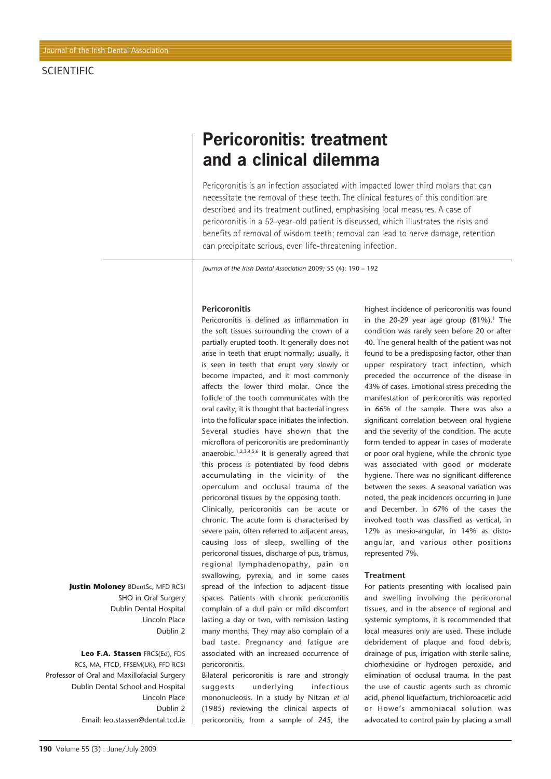# **Pericoronitis: treatment and a clinical dilemma**

Pericoronitis is an infection associated with impacted lower third molars that can necessitate the removal of these teeth. The clinical features of this condition are described and its treatment outlined, emphasising local measures. A case of pericoronitis in a 52-year-old patient is discussed, which illustrates the risks and benefits of removal of wisdom teeth; removal can lead to nerve damage, retention can precipitate serious, even life-threatening infection.

*Journal of the Irish Dental Association* 2009*;* 55 (4): 190 – 192

### **Pericoronitis**

Pericoronitis is defined as inflammation in the soft tissues surrounding the crown of a partially erupted tooth. It generally does not arise in teeth that erupt normally; usually, it is seen in teeth that erupt very slowly or become impacted, and it most commonly affects the lower third molar. Once the follicle of the tooth communicates with the oral cavity, it is thought that bacterial ingress into the follicular space initiates the infection. Several studies have shown that the microflora of pericoronitis are predominantly anaerobic.<sup>1,2,3,4,5,6</sup> It is generally agreed that this process is potentiated by food debris accumulating in the vicinity of the operculum and occlusal trauma of the pericoronal tissues by the opposing tooth.

Clinically, pericoronitis can be acute or chronic. The acute form is characterised by severe pain, often referred to adjacent areas, causing loss of sleep, swelling of the pericoronal tissues, discharge of pus, trismus, regional lymphadenopathy, pain on swallowing, pyrexia, and in some cases spread of the infection to adjacent tissue spaces. Patients with chronic pericoronitis complain of a dull pain or mild discomfort lasting a day or two, with remission lasting many months. They may also complain of a bad taste. Pregnancy and fatigue are associated with an increased occurrence of pericoronitis.

Bilateral pericoronitis is rare and strongly suggests underlying infectious mononucleosis. In a study by Nitzan *et al* (1985) reviewing the clinical aspects of pericoronitis, from a sample of 245, the

highest incidence of pericoronitis was found in the 20-29 year age group  $(81\%)$ .<sup>1</sup> The condition was rarely seen before 20 or after 40. The general health of the patient was not found to be a predisposing factor, other than upper respiratory tract infection, which preceded the occurrence of the disease in 43% of cases. Emotional stress preceding the manifestation of pericoronitis was reported in 66% of the sample. There was also a significant correlation between oral hygiene and the severity of the condition. The acute form tended to appear in cases of moderate or poor oral hygiene, while the chronic type was associated with good or moderate hygiene. There was no significant difference between the sexes. A seasonal variation was noted, the peak incidences occurring in June and December. In 67% of the cases the involved tooth was classified as vertical, in 12% as mesio-angular, in 14% as distoangular, and various other positions represented 7%.

#### **Treatment**

For patients presenting with localised pain and swelling involving the pericoronal tissues, and in the absence of regional and systemic symptoms, it is recommended that local measures only are used. These include debridement of plaque and food debris, drainage of pus, irrigation with sterile saline, chlorhexidine or hydrogen peroxide, and elimination of occlusal trauma. In the past the use of caustic agents such as chromic acid, phenol liquefactum, trichloroacetic acid or Howe's ammoniacal solution was advocated to control pain by placing a small

**Justin Moloney** BDentSc, MFD RCSI SHO in Oral Surgery Dublin Dental Hospital Lincoln Place Dublin 2

## **Leo F.A. Stassen** FRCS(Ed), FDS

RCS, MA, FTCD, FFSEM(UK), FFD RCSI Professor of Oral and Maxillofacial Surgery Dublin Dental School and Hospital Lincoln Place Dublin 2 Email: leo.stassen@dental.tcd.ie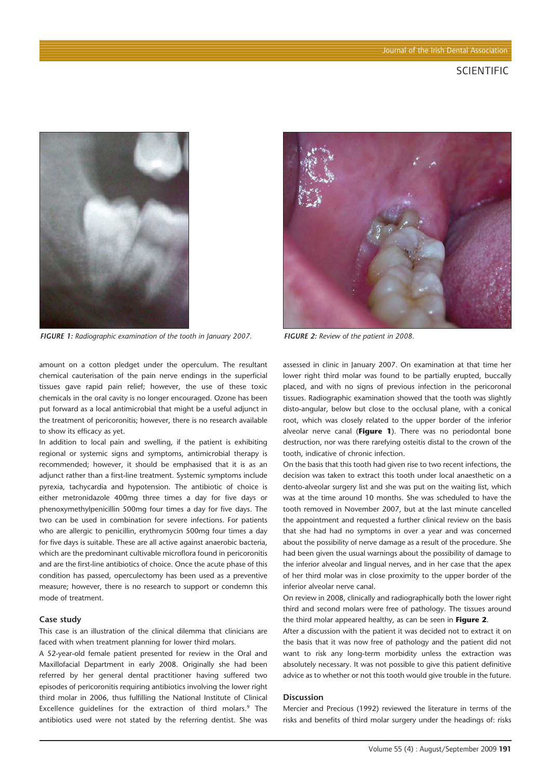

*FIGURE 1: Radiographic examination of the tooth in January 2007. FIGURE 2: Review of the patient in 2008.*

amount on a cotton pledget under the operculum. The resultant chemical cauterisation of the pain nerve endings in the superficial tissues gave rapid pain relief; however, the use of these toxic chemicals in the oral cavity is no longer encouraged. Ozone has been put forward as a local antimicrobial that might be a useful adjunct in the treatment of pericoronitis; however, there is no research available to show its efficacy as yet.

In addition to local pain and swelling, if the patient is exhibiting regional or systemic signs and symptoms, antimicrobial therapy is recommended; however, it should be emphasised that it is as an adjunct rather than a first-line treatment. Systemic symptoms include pyrexia, tachycardia and hypotension. The antibiotic of choice is either metronidazole 400mg three times a day for five days or phenoxymethylpenicillin 500mg four times a day for five days. The two can be used in combination for severe infections. For patients who are allergic to penicillin, erythromycin 500mg four times a day for five days is suitable. These are all active against anaerobic bacteria, which are the predominant cultivable microflora found in pericoronitis and are the first-line antibiotics of choice. Once the acute phase of this condition has passed, operculectomy has been used as a preventive measure; however, there is no research to support or condemn this mode of treatment.

#### **Case study**

This case is an illustration of the clinical dilemma that clinicians are faced with when treatment planning for lower third molars.

A 52-year-old female patient presented for review in the Oral and Maxillofacial Department in early 2008. Originally she had been referred by her general dental practitioner having suffered two episodes of pericoronitis requiring antibiotics involving the lower right third molar in 2006, thus fulfilling the National Institute of Clinical Excellence quidelines for the extraction of third molars.<sup>9</sup> The antibiotics used were not stated by the referring dentist. She was



assessed in clinic in January 2007. On examination at that time her lower right third molar was found to be partially erupted, buccally placed, and with no signs of previous infection in the pericoronal tissues. Radiographic examination showed that the tooth was slightly disto-angular, below but close to the occlusal plane, with a conical root, which was closely related to the upper border of the inferior alveolar nerve canal (**Figure 1**). There was no periodontal bone destruction, nor was there rarefying osteitis distal to the crown of the tooth, indicative of chronic infection.

On the basis that this tooth had given rise to two recent infections, the decision was taken to extract this tooth under local anaesthetic on a dento-alveolar surgery list and she was put on the waiting list, which was at the time around 10 months. She was scheduled to have the tooth removed in November 2007, but at the last minute cancelled the appointment and requested a further clinical review on the basis that she had had no symptoms in over a year and was concerned about the possibility of nerve damage as a result of the procedure. She had been given the usual warnings about the possibility of damage to the inferior alveolar and lingual nerves, and in her case that the apex of her third molar was in close proximity to the upper border of the inferior alveolar nerve canal.

On review in 2008, clinically and radiographically both the lower right third and second molars were free of pathology. The tissues around the third molar appeared healthy, as can be seen in **Figure 2**.

After a discussion with the patient it was decided not to extract it on the basis that it was now free of pathology and the patient did not want to risk any long-term morbidity unless the extraction was absolutely necessary. It was not possible to give this patient definitive advice as to whether or not this tooth would give trouble in the future.

#### **Discussion**

Mercier and Precious (1992) reviewed the literature in terms of the risks and benefits of third molar surgery under the headings of: risks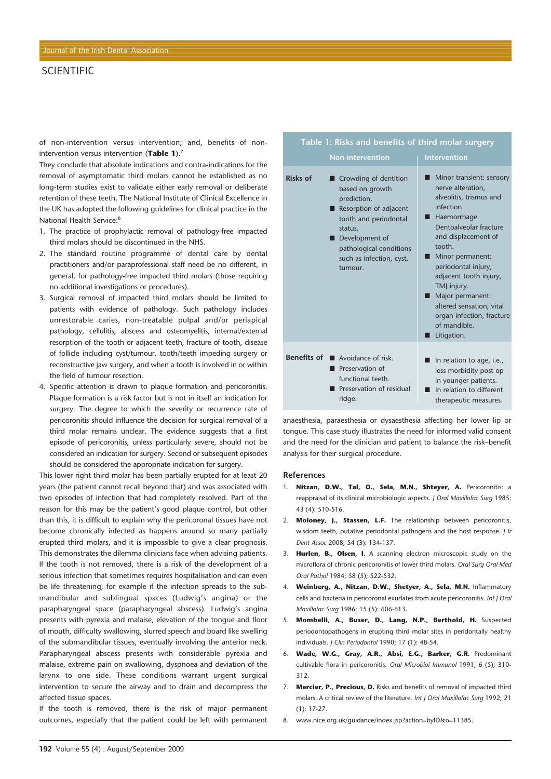## **SCIENTIFIC**

of non-intervention versus intervention; and, benefits of nonintervention versus intervention (**Table 1**).7

They conclude that absolute indications and contra-indications for the removal of asymptomatic third molars cannot be established as no long-term studies exist to validate either early removal or deliberate retention of these teeth. The National Institute of Clinical Excellence in the UK has adopted the following guidelines for clinical practice in the National Health Service:8

- 1. The practice of prophylactic removal of pathology-free impacted third molars should be discontinued in the NHS.
- 2. The standard routine programme of dental care by dental practitioners and/or paraprofessional staff need be no different, in general, for pathology-free impacted third molars (those requiring no additional investigations or procedures).
- 3. Surgical removal of impacted third molars should be limited to patients with evidence of pathology. Such pathology includes unrestorable caries, non-treatable pulpal and/or periapical pathology, cellulitis, abscess and osteomyelitis, internal/external resorption of the tooth or adjacent teeth, fracture of tooth, disease of follicle including cyst/tumour, tooth/teeth impeding surgery or reconstructive jaw surgery, and when a tooth is involved in or within the field of tumour resection.
- 4. Specific attention is drawn to plaque formation and pericoronitis. Plaque formation is a risk factor but is not in itself an indication for surgery. The degree to which the severity or recurrence rate of pericoronitis should influence the decision for surgical removal of a third molar remains unclear. The evidence suggests that a first episode of pericoronitis, unless particularly severe, should not be considered an indication for surgery. Second or subsequent episodes should be considered the appropriate indication for surgery.

This lower right third molar has been partially erupted for at least 20 years (the patient cannot recall beyond that) and was associated with two episodes of infection that had completely resolved. Part of the reason for this may be the patient's good plaque control, but other than this, it is difficult to explain why the pericoronal tissues have not become chronically infected as happens around so many partially erupted third molars, and it is impossible to give a clear prognosis. This demonstrates the dilemma clinicians face when advising patients. If the tooth is not removed, there is a risk of the development of a serious infection that sometimes requires hospitalisation and can even be life threatening, for example if the infection spreads to the submandibular and sublingual spaces (Ludwig's angina) or the parapharyngeal space (parapharyngeal abscess). Ludwig's angina presents with pyrexia and malaise, elevation of the tongue and floor of mouth, difficulty swallowing, slurred speech and board like swelling of the submandibular tissues, eventually involving the anterior neck. Parapharyngeal abscess presents with considerable pyrexia and malaise, extreme pain on swallowing, dyspnoea and deviation of the larynx to one side. These conditions warrant urgent surgical intervention to secure the airway and to drain and decompress the affected tissue spaces.

If the tooth is removed, there is the risk of major permanent outcomes, especially that the patient could be left with permanent

#### ■ Crowding of dentition based on growth prediction. ■ Resorption of adjacent tooth and periodontal status. ■ Development of pathological conditions such as infection, cyst, tumour. **Benefits of ■** Avoidance of risk. ■ Preservation of functional teeth. ■ Preservation of residual ridge. **Intervention** ■ Minor transient: sensory nerve alteration, alveolitis, trismus and infection. ■ Haemorrhage. Dentoalveolar fracture and displacement of tooth. ■ Minor permanent: periodontal injury, adjacent tooth injury, TMJ injury. ■ Major permanent: altered sensation, vital organ infection, fracture of mandible. ■ Litigation. ■ In relation to age, i.e., less morbidity post op in younger patients. ■ In relation to different therapeutic measures. **Table 1: Risks and benefits of third molar surgery Risks of**

anaesthesia, paraesthesia or dysaesthesia affecting her lower lip or tongue. This case study illustrates the need for informed valid consent and the need for the clinician and patient to balance the risk–benefit analysis for their surgical procedure.

#### **References**

- 1. **Nitzan, D.W., Tal, O., Sela, M.N., Shteyer, A.** Pericoronitis: a reappraisal of its clinical microbiologic aspects. *J Oral Maxillofac Surg* 1985; 43 (4): 510-516.
- 2. **Moloney, J., Stassen, L.F.** The relationship between pericoronitis, wisdom teeth, putative periodontal pathogens and the host response. *J Ir Dent Assoc* 2008; 54 (3): 134-137.
- 3. **Hurlen, B., Olsen, I.** A scanning electron microscopic study on the microflora of chronic pericoronitis of lower third molars. *Oral Surg Oral Med Oral Pathol* 1984; 58 (5); 522-532.
- 4. **Weinberg, A., Nitzan, D.W., Shetyer, A., Sela, M.N.** Inflammatory cells and bacteria in pericoronal exudates from acute pericoronitis. *Int J Oral Maxillofac Surg* 1986; 15 (5): 606-613.
- 5. **Mombelli, A., Buser, D., Lang, N.P., Berthold, H.** Suspected periodontopathogens in erupting third molar sites in peridontally healthy individuals. *J Clin Periodontol* 1990; 17 (1): 48-54.
- 6. **Wade, W.G., Gray, A.R., Absi, E.G., Barker, G.R.** Predominant cultivable flora in pericoronitis. *Oral Microbiol Immunol* 1991; 6 (5); 310- 312.
- 7. **Mercier, P., Precious, D.** Risks and benefits of removal of impacted third molars. A critical review of the literature. *Int J Oral Maxillofac Surg* 1992; 21 (1): 17-27.
- 8. www.nice.org.uk/guidance/index.jsp?action=byID&o=11385.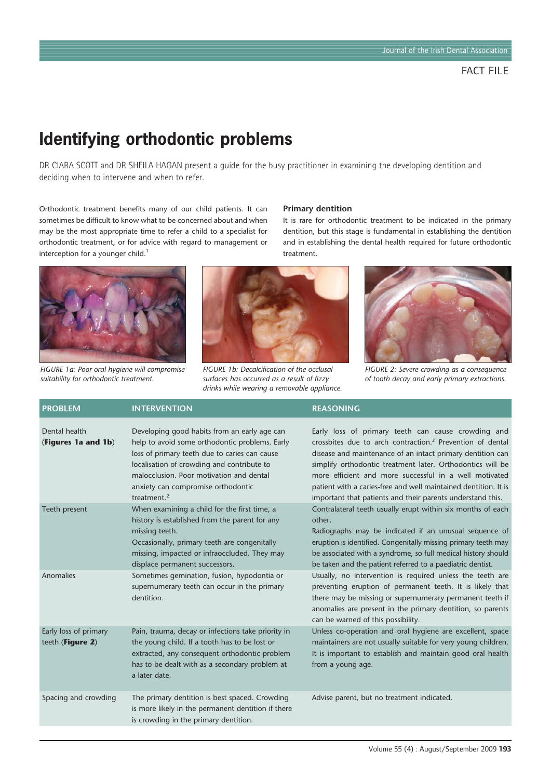# **Identifying orthodontic problems**

DR CIARA SCOTT and DR SHEILA HAGAN present a guide for the busy practitioner in examining the developing dentition and deciding when to intervene and when to refer.

> *FIGURE 1b: Decalcification of the occlusal surfaces has occurred as a result of fizzy drinks while wearing a removable appliance.*

Orthodontic treatment benefits many of our child patients. It can sometimes be difficult to know what to be concerned about and when may be the most appropriate time to refer a child to a specialist for orthodontic treatment, or for advice with regard to management or interception for a younger child.<sup>1</sup>



*FIGURE 1a: Poor oral hygiene will compromise suitability for orthodontic treatment.*



It is rare for orthodontic treatment to be indicated in the primary dentition, but this stage is fundamental in establishing the dentition and in establishing the dental health required for future orthodontic treatment.



*FIGURE 2: Severe crowding as a consequence of tooth decay and early primary extractions.*

| <b>PROBLEM</b>                            | <b>INTERVENTION</b>                                                                                                                                                                                                                                                                               | <b>REASONING</b>                                                                                                                                                                                                                                                                                                                                                                                                                                   |
|-------------------------------------------|---------------------------------------------------------------------------------------------------------------------------------------------------------------------------------------------------------------------------------------------------------------------------------------------------|----------------------------------------------------------------------------------------------------------------------------------------------------------------------------------------------------------------------------------------------------------------------------------------------------------------------------------------------------------------------------------------------------------------------------------------------------|
| Dental health<br>(Figures 1a and 1b)      | Developing good habits from an early age can<br>help to avoid some orthodontic problems. Early<br>loss of primary teeth due to caries can cause<br>localisation of crowding and contribute to<br>malocclusion. Poor motivation and dental<br>anxiety can compromise orthodontic<br>treatment. $2$ | Early loss of primary teeth can cause crowding and<br>crossbites due to arch contraction. <sup>2</sup> Prevention of dental<br>disease and maintenance of an intact primary dentition can<br>simplify orthodontic treatment later. Orthodontics will be<br>more efficient and more successful in a well motivated<br>patient with a caries-free and well maintained dentition. It is<br>important that patients and their parents understand this. |
| Teeth present                             | When examining a child for the first time, a<br>history is established from the parent for any<br>missing teeth.<br>Occasionally, primary teeth are congenitally<br>missing, impacted or infraoccluded. They may<br>displace permanent successors.                                                | Contralateral teeth usually erupt within six months of each<br>other.<br>Radiographs may be indicated if an unusual sequence of<br>eruption is identified. Congenitally missing primary teeth may<br>be associated with a syndrome, so full medical history should<br>be taken and the patient referred to a paediatric dentist.                                                                                                                   |
| Anomalies                                 | Sometimes gemination, fusion, hypodontia or<br>supernumerary teeth can occur in the primary<br>dentition.                                                                                                                                                                                         | Usually, no intervention is required unless the teeth are<br>preventing eruption of permanent teeth. It is likely that<br>there may be missing or supernumerary permanent teeth if<br>anomalies are present in the primary dentition, so parents<br>can be warned of this possibility.                                                                                                                                                             |
| Early loss of primary<br>teeth (Figure 2) | Pain, trauma, decay or infections take priority in<br>the young child. If a tooth has to be lost or<br>extracted, any consequent orthodontic problem<br>has to be dealt with as a secondary problem at<br>a later date.                                                                           | Unless co-operation and oral hygiene are excellent, space<br>maintainers are not usually suitable for very young children.<br>It is important to establish and maintain good oral health<br>from a young age.                                                                                                                                                                                                                                      |
| Spacing and crowding                      | The primary dentition is best spaced. Crowding<br>is more likely in the permanent dentition if there<br>is crowding in the primary dentition.                                                                                                                                                     | Advise parent, but no treatment indicated.                                                                                                                                                                                                                                                                                                                                                                                                         |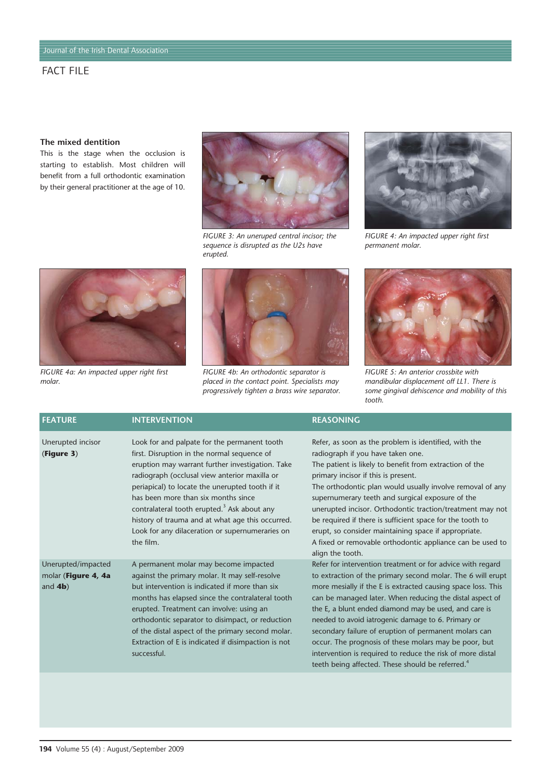# **The mixed dentition**

This is the stage when the occlusion is starting to establish. Most children will benefit from a full orthodontic examination by their general practitioner at the age of 10.



*FIGURE 3: An uneruped central incisor; the sequence is disrupted as the U2s have erupted.*



*FIGURE 4a: An impacted upper right first molar.*



*FIGURE 4b: An orthodontic separator is placed in the contact point. Specialists may progressively tighten a brass wire separator.*



*FIGURE 4: An impacted upper right first permanent molar.*



*FIGURE 5: An anterior crossbite with mandibular displacement off LL1. There is some gingival dehiscence and mobility of this tooth.*

| <b>FEATURE</b>                                          | <b>INTERVENTION</b>                                                                                                                                                                                                                                                                                                                                                                                                                                                       | <b>REASONING</b>                                                                                                                                                                                                                                                                                                                                                                                                                                                                                                                                                                                                     |
|---------------------------------------------------------|---------------------------------------------------------------------------------------------------------------------------------------------------------------------------------------------------------------------------------------------------------------------------------------------------------------------------------------------------------------------------------------------------------------------------------------------------------------------------|----------------------------------------------------------------------------------------------------------------------------------------------------------------------------------------------------------------------------------------------------------------------------------------------------------------------------------------------------------------------------------------------------------------------------------------------------------------------------------------------------------------------------------------------------------------------------------------------------------------------|
| Unerupted incisor<br>(Figure 3)                         | Look for and palpate for the permanent tooth<br>first. Disruption in the normal sequence of<br>eruption may warrant further investigation. Take<br>radiograph (occlusal view anterior maxilla or<br>periapical) to locate the unerupted tooth if it<br>has been more than six months since<br>contralateral tooth erupted. <sup>3</sup> Ask about any<br>history of trauma and at what age this occurred.<br>Look for any dilaceration or supernumeraries on<br>the film. | Refer, as soon as the problem is identified, with the<br>radiograph if you have taken one.<br>The patient is likely to benefit from extraction of the<br>primary incisor if this is present.<br>The orthodontic plan would usually involve removal of any<br>supernumerary teeth and surgical exposure of the<br>unerupted incisor. Orthodontic traction/treatment may not<br>be required if there is sufficient space for the tooth to<br>erupt, so consider maintaining space if appropriate.<br>A fixed or removable orthodontic appliance can be used to<br>align the tooth.                                     |
| Unerupted/impacted<br>molar (Figure 4, 4a<br>and $4b$ ) | A permanent molar may become impacted<br>against the primary molar. It may self-resolve<br>but intervention is indicated if more than six<br>months has elapsed since the contralateral tooth<br>erupted. Treatment can involve: using an<br>orthodontic separator to disimpact, or reduction<br>of the distal aspect of the primary second molar.<br>Extraction of E is indicated if disimpaction is not<br>successful.                                                  | Refer for intervention treatment or for advice with regard<br>to extraction of the primary second molar. The 6 will erupt<br>more mesially if the E is extracted causing space loss. This<br>can be managed later. When reducing the distal aspect of<br>the E, a blunt ended diamond may be used, and care is<br>needed to avoid iatrogenic damage to 6. Primary or<br>secondary failure of eruption of permanent molars can<br>occur. The prognosis of these molars may be poor, but<br>intervention is required to reduce the risk of more distal<br>teeth being affected. These should be referred. <sup>4</sup> |
|                                                         |                                                                                                                                                                                                                                                                                                                                                                                                                                                                           |                                                                                                                                                                                                                                                                                                                                                                                                                                                                                                                                                                                                                      |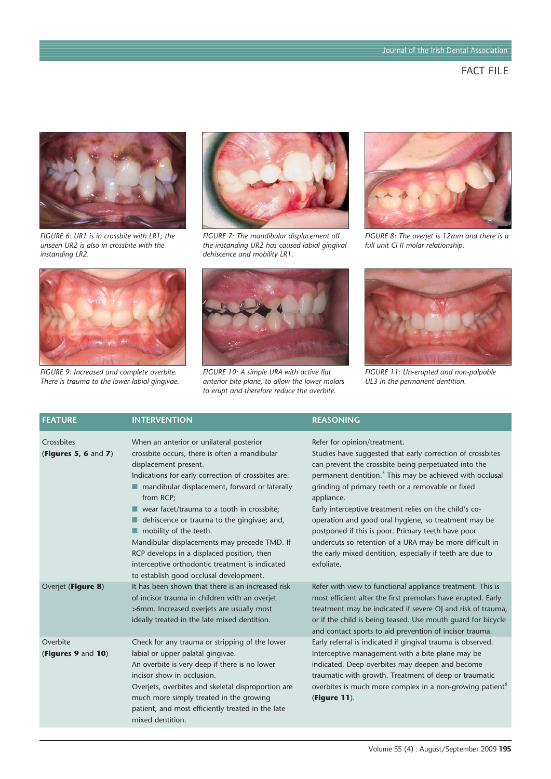

*FIGURE 6: UR1 is in crossbite with LR1; the unseen UR2 is also in crossbite with the instanding LR2.*



*FIGURE 9: Increased and complete overbite. There is trauma to the lower labial gingivae.*



*FIGURE 7: The mandibular displacement off the instanding UR2 has caused labial gingival dehiscence and mobility LR1.*



*FIGURE 10: A simple URA with active flat anterior bite plane, to allow the lower molars to erupt and therefore reduce the overbite.*



*FIGURE 8: The overjet is 12mm and there is a full unit Cl II molar relationship.*



*FIGURE 11: Un-erupted and non-palpable UL3 in the permanent dentition.*

| <b>FEATURE</b>                        | <b>INTERVENTION</b>                                                                                                                                                                                                                                                                                                                                                                                                                                                                                                                                                                     | <b>REASONING</b>                                                                                                                                                                                                                                                                                                                                                                                                                                                                                                                                                                                             |
|---------------------------------------|-----------------------------------------------------------------------------------------------------------------------------------------------------------------------------------------------------------------------------------------------------------------------------------------------------------------------------------------------------------------------------------------------------------------------------------------------------------------------------------------------------------------------------------------------------------------------------------------|--------------------------------------------------------------------------------------------------------------------------------------------------------------------------------------------------------------------------------------------------------------------------------------------------------------------------------------------------------------------------------------------------------------------------------------------------------------------------------------------------------------------------------------------------------------------------------------------------------------|
| Crossbites<br>(Figures 5, 6 and $7$ ) | When an anterior or unilateral posterior<br>crossbite occurs, there is often a mandibular<br>displacement present.<br>Indications for early correction of crossbites are:<br>mandibular displacement, forward or laterally<br>from RCP;<br>$\blacksquare$ wear facet/trauma to a tooth in crossbite;<br>dehiscence or trauma to the gingivae; and,<br>$\blacksquare$ mobility of the teeth.<br>Mandibular displacements may precede TMD. If<br>RCP develops in a displaced position, then<br>interceptive orthodontic treatment is indicated<br>to establish good occlusal development. | Refer for opinion/treatment.<br>Studies have suggested that early correction of crossbites<br>can prevent the crossbite being perpetuated into the<br>permanent dentition. <sup>5</sup> This may be achieved with occlusal<br>grinding of primary teeth or a removable or fixed<br>appliance.<br>Early interceptive treatment relies on the child's co-<br>operation and good oral hygiene, so treatment may be<br>postponed if this is poor. Primary teeth have poor<br>undercuts so retention of a URA may be more difficult in<br>the early mixed dentition, especially if teeth are due to<br>exfoliate. |
| Overjet (Figure 8)                    | It has been shown that there is an increased risk<br>of incisor trauma in children with an overjet<br>>6mm. Increased overjets are usually most<br>ideally treated in the late mixed dentition.                                                                                                                                                                                                                                                                                                                                                                                         | Refer with view to functional appliance treatment. This is<br>most efficient after the first premolars have erupted. Early<br>treatment may be indicated if severe OJ and risk of trauma,<br>or if the child is being teased. Use mouth quard for bicycle<br>and contact sports to aid prevention of incisor trauma.                                                                                                                                                                                                                                                                                         |
| Overbite<br>(Figures 9 and 10)        | Check for any trauma or stripping of the lower<br>labial or upper palatal gingivae.<br>An overbite is very deep if there is no lower<br>incisor show in occlusion.<br>Overjets, overbites and skeletal disproportion are<br>much more simply treated in the growing<br>patient, and most efficiently treated in the late<br>mixed dentition.                                                                                                                                                                                                                                            | Early referral is indicated if gingival trauma is observed.<br>Interceptive management with a bite plane may be<br>indicated. Deep overbites may deepen and become<br>traumatic with growth. Treatment of deep or traumatic<br>overbites is much more complex in a non-growing patient <sup>6</sup><br>(Figure 11).                                                                                                                                                                                                                                                                                          |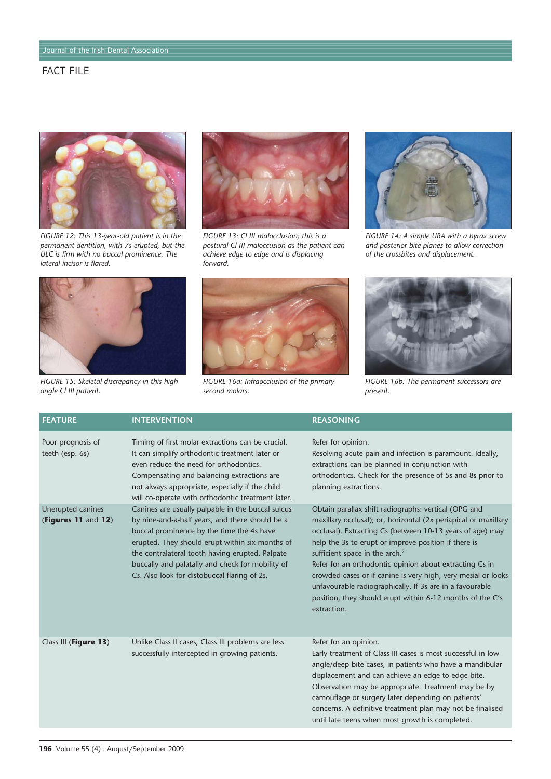

*FIGURE 12: This 13-year-old patient is in the permanent dentition, with 7s erupted, but the ULC is firm with no buccal prominence. The lateral incisor is flared.*



*FIGURE 15: Skeletal discrepancy in this high angle Cl III patient.*



*FIGURE 13: Cl III malocclusion; this is a postural Cl III maloccusion as the patient can achieve edge to edge and is displacing forward.*



*FIGURE 16a: Infraocclusion of the primary second molars.*



*FIGURE 14: A simple URA with a hyrax screw and posterior bite planes to allow correction of the crossbites and displacement.*



*FIGURE 16b: The permanent successors are present.*

| <b>FEATURE</b>                           | <b>INTERVENTION</b>                                                                                                                                                                                                                                                                                                                                         | <b>REASONING</b>                                                                                                                                                                                                                                                                                                                                                                                                                                                                                                                                               |
|------------------------------------------|-------------------------------------------------------------------------------------------------------------------------------------------------------------------------------------------------------------------------------------------------------------------------------------------------------------------------------------------------------------|----------------------------------------------------------------------------------------------------------------------------------------------------------------------------------------------------------------------------------------------------------------------------------------------------------------------------------------------------------------------------------------------------------------------------------------------------------------------------------------------------------------------------------------------------------------|
| Poor prognosis of<br>teeth (esp. 6s)     | Timing of first molar extractions can be crucial.<br>It can simplify orthodontic treatment later or<br>even reduce the need for orthodontics.<br>Compensating and balancing extractions are<br>not always appropriate, especially if the child<br>will co-operate with orthodontic treatment later.                                                         | Refer for opinion.<br>Resolving acute pain and infection is paramount. Ideally,<br>extractions can be planned in conjunction with<br>orthodontics. Check for the presence of 5s and 8s prior to<br>planning extractions.                                                                                                                                                                                                                                                                                                                                       |
| Unerupted canines<br>(Figures 11 and 12) | Canines are usually palpable in the buccal sulcus<br>by nine-and-a-half years, and there should be a<br>buccal prominence by the time the 4s have<br>erupted. They should erupt within six months of<br>the contralateral tooth having erupted. Palpate<br>buccally and palatally and check for mobility of<br>Cs. Also look for distobuccal flaring of 2s. | Obtain parallax shift radiographs: vertical (OPG and<br>maxillary occlusal); or, horizontal (2x periapical or maxillary<br>occlusal). Extracting Cs (between 10-13 years of age) may<br>help the 3s to erupt or improve position if there is<br>sufficient space in the arch. <sup>7</sup><br>Refer for an orthodontic opinion about extracting Cs in<br>crowded cases or if canine is very high, very mesial or looks<br>unfavourable radiographically. If 3s are in a favourable<br>position, they should erupt within 6-12 months of the C's<br>extraction. |
| Class III (Figure 13)                    | Unlike Class II cases, Class III problems are less<br>successfully intercepted in growing patients.                                                                                                                                                                                                                                                         | Refer for an opinion.<br>Early treatment of Class III cases is most successful in low<br>angle/deep bite cases, in patients who have a mandibular<br>displacement and can achieve an edge to edge bite.<br>Observation may be appropriate. Treatment may be by<br>camouflage or surgery later depending on patients'<br>concerns. A definitive treatment plan may not be finalised<br>until late teens when most growth is completed.                                                                                                                          |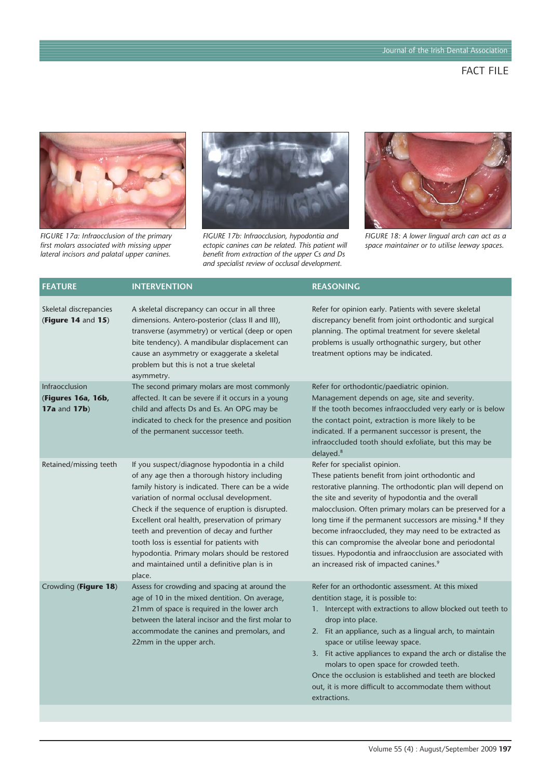

*FIGURE 17a: Infraocclusion of the primary first molars associated with missing upper lateral incisors and palatal upper canines.*



*FIGURE 17b: Infraocclusion, hypodontia and ectopic canines can be related. This patient will benefit from extraction of the upper Cs and Ds and specialist review of occlusal development.*



*FIGURE 18: A lower lingual arch can act as a space maintainer or to utilise leeway spaces.*

| <b>FEATURE</b>                                              | <b>INTERVENTION</b>                                                                                                                                                                                                                                                                                                                                                                                                                                                                                      | <b>REASONING</b>                                                                                                                                                                                                                                                                                                                                                                                                                                                                                                                                                                       |
|-------------------------------------------------------------|----------------------------------------------------------------------------------------------------------------------------------------------------------------------------------------------------------------------------------------------------------------------------------------------------------------------------------------------------------------------------------------------------------------------------------------------------------------------------------------------------------|----------------------------------------------------------------------------------------------------------------------------------------------------------------------------------------------------------------------------------------------------------------------------------------------------------------------------------------------------------------------------------------------------------------------------------------------------------------------------------------------------------------------------------------------------------------------------------------|
| Skeletal discrepancies<br>(Figure 14 and 15)                | A skeletal discrepancy can occur in all three<br>dimensions. Antero-posterior (class II and III),<br>transverse (asymmetry) or vertical (deep or open<br>bite tendency). A mandibular displacement can<br>cause an asymmetry or exaggerate a skeletal<br>problem but this is not a true skeletal<br>asymmetry.                                                                                                                                                                                           | Refer for opinion early. Patients with severe skeletal<br>discrepancy benefit from joint orthodontic and surgical<br>planning. The optimal treatment for severe skeletal<br>problems is usually orthognathic surgery, but other<br>treatment options may be indicated.                                                                                                                                                                                                                                                                                                                 |
| Infraocclusion<br>(Figures 16a, 16b,<br><b>17a and 17b)</b> | The second primary molars are most commonly<br>affected. It can be severe if it occurs in a young<br>child and affects Ds and Es. An OPG may be<br>indicated to check for the presence and position<br>of the permanent successor teeth.                                                                                                                                                                                                                                                                 | Refer for orthodontic/paediatric opinion.<br>Management depends on age, site and severity.<br>If the tooth becomes infraoccluded very early or is below<br>the contact point, extraction is more likely to be<br>indicated. If a permanent successor is present, the<br>infraoccluded tooth should exfoliate, but this may be<br>delayed. <sup>8</sup>                                                                                                                                                                                                                                 |
| Retained/missing teeth                                      | If you suspect/diagnose hypodontia in a child<br>of any age then a thorough history including<br>family history is indicated. There can be a wide<br>variation of normal occlusal development.<br>Check if the sequence of eruption is disrupted.<br>Excellent oral health, preservation of primary<br>teeth and prevention of decay and further<br>tooth loss is essential for patients with<br>hypodontia. Primary molars should be restored<br>and maintained until a definitive plan is in<br>place. | Refer for specialist opinion.<br>These patients benefit from joint orthodontic and<br>restorative planning. The orthodontic plan will depend on<br>the site and severity of hypodontia and the overall<br>malocclusion. Often primary molars can be preserved for a<br>long time if the permanent successors are missing. <sup>8</sup> If they<br>become infraoccluded, they may need to be extracted as<br>this can compromise the alveolar bone and periodontal<br>tissues. Hypodontia and infraocclusion are associated with<br>an increased risk of impacted canines. <sup>9</sup> |
| Crowding (Figure 18)                                        | Assess for crowding and spacing at around the<br>age of 10 in the mixed dentition. On average,<br>21mm of space is required in the lower arch<br>between the lateral incisor and the first molar to<br>accommodate the canines and premolars, and<br>22mm in the upper arch.                                                                                                                                                                                                                             | Refer for an orthodontic assessment. At this mixed<br>dentition stage, it is possible to:<br>1. Intercept with extractions to allow blocked out teeth to<br>drop into place.<br>2. Fit an appliance, such as a lingual arch, to maintain<br>space or utilise leeway space.<br>3. Fit active appliances to expand the arch or distalise the<br>molars to open space for crowded teeth.<br>Once the occlusion is established and teeth are blocked<br>out, it is more difficult to accommodate them without<br>extractions.                                                              |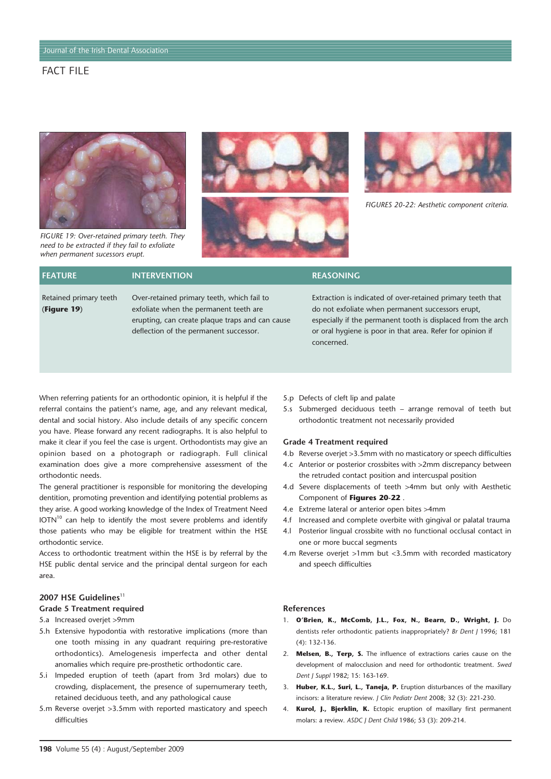

*FIGURE 19: Over-retained primary teeth. They need to be extracted if they fail to exfoliate when permanent sucessors erupt.*





*FIGURES 20-22: Aesthetic component criteria.*

| <b>FEATURE</b>                        | <b>INTERVENTION</b>                                                                                                                                                               | <b>REASONING</b>                                                                                                                                                                                                                                             |
|---------------------------------------|-----------------------------------------------------------------------------------------------------------------------------------------------------------------------------------|--------------------------------------------------------------------------------------------------------------------------------------------------------------------------------------------------------------------------------------------------------------|
| Retained primary teeth<br>(Figure 19) | Over-retained primary teeth, which fail to<br>exfoliate when the permanent teeth are<br>erupting, can create plaque traps and can cause<br>deflection of the permanent successor. | Extraction is indicated of over-retained primary teeth that<br>do not exfoliate when permanent successors erupt,<br>especially if the permanent tooth is displaced from the arch<br>or oral hygiene is poor in that area. Refer for opinion if<br>concerned. |

When referring patients for an orthodontic opinion, it is helpful if the referral contains the patient's name, age, and any relevant medical, dental and social history. Also include details of any specific concern you have. Please forward any recent radiographs. It is also helpful to make it clear if you feel the case is urgent. Orthodontists may give an opinion based on a photograph or radiograph. Full clinical examination does give a more comprehensive assessment of the orthodontic needs.

The general practitioner is responsible for monitoring the developing dentition, promoting prevention and identifying potential problems as they arise. A good working knowledge of the Index of Treatment Need  $IOTN<sup>10</sup>$  can help to identify the most severe problems and identify those patients who may be eligible for treatment within the HSE orthodontic service.

Access to orthodontic treatment within the HSE is by referral by the HSE public dental service and the principal dental surgeon for each area.

## 2007 HSE Guidelines<sup>11</sup>

#### **Grade 5 Treatment required**

- 5.a Increased overjet >9mm
- 5.h Extensive hypodontia with restorative implications (more than one tooth missing in any quadrant requiring pre-restorative orthodontics). Amelogenesis imperfecta and other dental anomalies which require pre-prosthetic orthodontic care.
- 5.i Impeded eruption of teeth (apart from 3rd molars) due to crowding, displacement, the presence of supernumerary teeth, retained deciduous teeth, and any pathological cause
- 5.m Reverse overjet >3.5mm with reported masticatory and speech difficulties
- 5.p Defects of cleft lip and palate
- 5.s Submerged deciduous teeth arrange removal of teeth but orthodontic treatment not necessarily provided

### **Grade 4 Treatment required**

- 4.b Reverse overjet >3.5mm with no masticatory or speech difficulties
- 4.c Anterior or posterior crossbites with >2mm discrepancy between the retruded contact position and intercuspal position
- 4.d Severe displacements of teeth >4mm but only with Aesthetic Component of **Figures 20-22** .
- 4.e Extreme lateral or anterior open bites >4mm
- 4.f Increased and complete overbite with gingival or palatal trauma
- 4.l Posterior lingual crossbite with no functional occlusal contact in one or more buccal segments
- 4.m Reverse overjet >1mm but <3.5mm with recorded masticatory and speech difficulties

#### **References**

- 1. **O'Brien, K., McComb, J.L., Fox, N., Bearn, D., Wright, J.** Do dentists refer orthodontic patients inappropriately? *Br Dent J* 1996; 181 (4): 132-136.
- 2. **Melsen, B., Terp, S.** The influence of extractions caries cause on the development of malocclusion and need for orthodontic treatment. *Swed Dent J Suppl* 1982; 15: 163-169.
- 3. **Huber, K.L., Suri, L., Taneja, P.** Eruption disturbances of the maxillary incisors: a literature review. *J Clin Pediatr Dent* 2008; 32 (3): 221-230.
- 4. **Kurol, J., Bjerklin, K.** Ectopic eruption of maxillary first permanent molars: a review. *ASDC J Dent Child* 1986; 53 (3): 209-214.